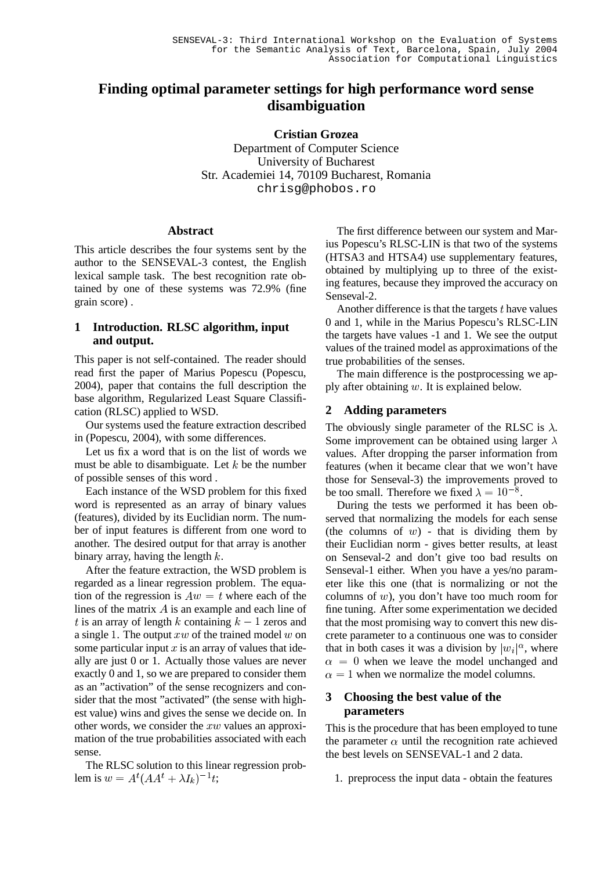# **Finding optimal parameter settings for high performance word sense disambiguation**

**Cristian Grozea** Department of Computer Science University of Bucharest Str. Academiei 14, 70109 Bucharest, Romania chrisg@phobos.ro

#### **Abstract**

This article describes the four systems sent by the author to the SENSEVAL-3 contest, the English lexical sample task. The best recognition rate obtained by one of these systems was 72.9% (fine grain score) .

#### **1 Introduction. RLSC algorithm, input and output.**

This paper is not self-contained. The reader should read first the paper of Marius Popescu (Popescu, 2004), paper that contains the full description the base algorithm, Regularized Least Square Classification (RLSC) applied to WSD.

Our systems used the feature extraction described in (Popescu, 2004), with some differences.

Let us fix a word that is on the list of words we must be able to disambiguate. Let  $k$  be the number of possible senses of this word .

Each instance of the WSD problem for this fixed word is represented as an array of binary values (features), divided by its Euclidian norm. The number of input features is different from one word to another. The desired output for that array is another binary array, having the length  $k$ .

After the feature extraction, the WSD problem is regarded as a linear regression problem. The equation of the regression is  $Aw = t$  where each of the lines of the matrix  $\vec{A}$  is an example and each line of t is an array of length k containing  $k-1$  zeros and a single 1. The output  $xw$  of the trained model some particular input  $x$  is an array of values that ideally are just 0 or 1. Actually those values are never exactly 0 and 1, so we are prepared to consider them as an "activation" of the sense recognizers and consider that the most "activated" (the sense with highest value) wins and gives the sense we decide on. In other words, we consider the  $xw$  values an approximation of the true probabilities associated with each sense.

The RLSC solution to this linear regression problem is  $w = A^t (AA^t + \lambda I_k)^{-1} t;$ 

The first difference between our system and Marius Popescu's RLSC-LIN is that two of the systems (HTSA3 and HTSA4) use supplementary features, obtained by multiplying up to three of the existing features, because they improved the accuracy on Senseval-2.

Another difference is that the targets  $t$  have values 0 and 1, while in the Marius Popescu's RLSC-LIN the targets have values -1 and 1. We see the output values of the trained model as approximations of the true probabilities of the senses.

The main difference is the postprocessing we apply after obtaining  $w$ . It is explained below.

### **2 Adding parameters**

The obviously single parameter of the RLSC is  $\lambda$ . Some improvement can be obtained using larger  $\lambda$ values. After dropping the parser information from features (when it became clear that we won't have those for Senseval-3) the improvements proved to be too small. Therefore we fixed  $\lambda = 10^{-8}$ .

 on crete parameter to a continuous one was to consider During the tests we performed it has been observed that normalizing the models for each sense (the columns of  $w$ ) - that is dividing them by their Euclidian norm - gives better results, at least on Senseval-2 and don't give too bad results on Senseval-1 either. When you have a yes/no parameter like this one (that is normalizing or not the columns of  $w$ ), you don't have too much room for fine tuning. After some experimentation we decided that the most promising way to convert this new disthat in both cases it was a division by  $|w_i|^{\alpha}$ , where  $\alpha = 0$  when we leave the model unchanged and  $\alpha = 1$  when we normalize the model columns.

### **3 Choosing the best value of the parameters**

This is the procedure that has been employed to tune the parameter  $\alpha$  until the recognition rate achieved the best levels on SENSEVAL-1 and 2 data.

1. preprocess the input data - obtain the features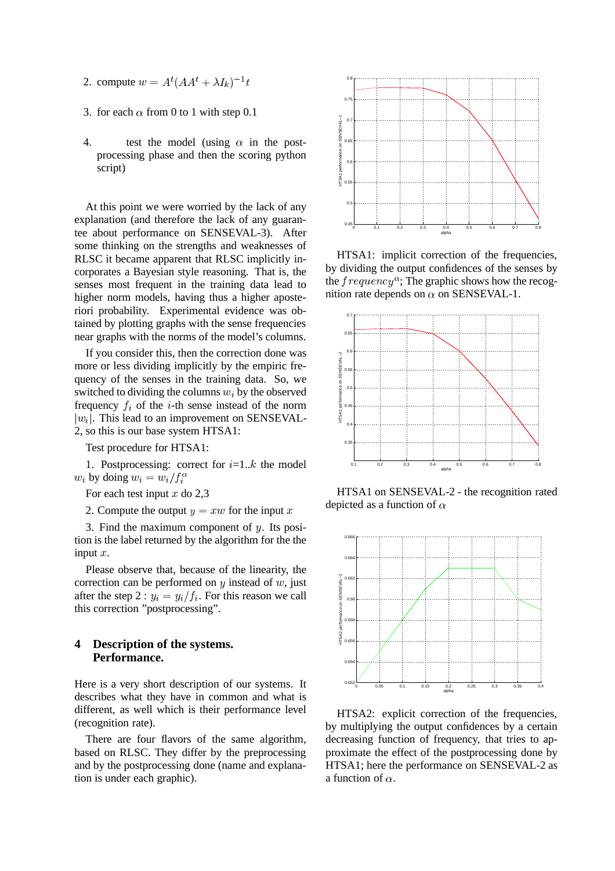- 2. compute  $w = A^t (A A^t + \lambda I_k)^{-1} t$
- 3. for each  $\alpha$  from 0 to 1 with step 0.1
- 4. test the model (using  $\alpha$  in the postprocessing phase and then the scoring python script)

At this point we were worried by the lack of any explanation (and therefore the lack of any guarantee about performance on SENSEVAL-3). After some thinking on the strengths and weaknesses of RLSC it became apparent that RLSC implicitly incorporates a Bayesian style reasoning. That is, the senses most frequent in the training data lead to higher norm models, having thus a higher aposteriori probability. Experimental evidence was obtained by plotting graphs with the sense frequencies near graphs with the norms of the model's columns.

If you consider this, then the correction done was more or less dividing implicitly by the empiric frequency of the senses in the training data. So, we switched to dividing the columns  $w_i$  by the observed frequency  $f_i$  of the *i*-th sense instead of the norm  $|w_i|$ . This lead to an improvement on SENSEVAL-2, so this is our base system HTSA1:

Test procedure for HTSA1:

1. Postprocessing: correct for  $i=1..k$  the model  $w_i$  by doing  $w_i = w_i/f_i^{\alpha}$ 

For each test input  $x$  do 2,3

2. Compute the output  $y = xw$  for the input x

3. Find the maximum component of  $u$ . Its position is the label returned by the algorithm for the the input  $x$ .

Please observe that, because of the linearity, the correction can be performed on  $y$  instead of  $w$ , just after the step 2 :  $y_i = y_i / f_i$ . For this reason we call this correction "postprocessing".

### **4 Description of the systems. Performance.**

Here is a very short description of our systems. It describes what they have in common and what is different, as well which is their performance level (recognition rate).

There are four flavors of the same algorithm, based on RLSC. They differ by the preprocessing and by the postprocessing done (name and explanation is under each graphic).



HTSA1: implicit correction of the frequencies, by dividing the output confidences of the senses by the  $frequency^{\alpha}$ ; The graphic shows how the recognition rate depends on  $\alpha$  on SENSEVAL-1.



HTSA1 on SENSEVAL-2 - the recognition rated depicted as a function of  $\alpha$ 



HTSA2: explicit correction of the frequencies, by multiplying the output confidences by a certain decreasing function of frequency, that tries to approximate the effect of the postprocessing done by HTSA1; here the performance on SENSEVAL-2 as a function of  $\alpha$ .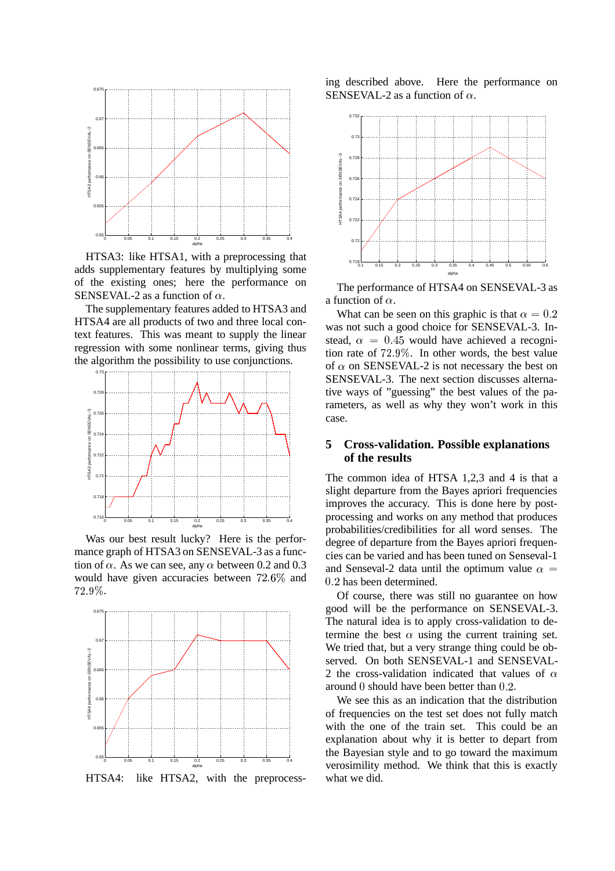

HTSA3: like HTSA1, with a preprocessing that adds supplementary features by multiplying some of the existing ones; here the performance on SENSEVAL-2 as a function of  $\alpha$ .

The supplementary features added to HTSA3 and HTSA4 are all products of two and three local context features. This was meant to supply the linear regression with some nonlinear terms, giving thus the algorithm the possibility to use conjunctions.



Was our best result lucky? Here is the performance graph of HTSA3 on SENSEVAL-3 as a function of  $\alpha$ . As we can see, any  $\alpha$  between 0.2 and 0.3 would have given accuracies between 72.6% and  $\sqrt{2}$  $72.9\%$  .



ing described above. Here the performance on SENSEVAL-2 as a function of  $\alpha$ .



The performance of HTSA4 on SENSEVAL-3 as a function of  $\alpha$ .

What can be seen on this graphic is that  $\alpha = 0.2$ was not such a good choice for SENSEVAL-3. Instead,  $\alpha = 0.45$  would have achieved a recognition rate of  $72.9\%$ . In other words, the best value of  $\alpha$  on SENSEVAL-2 is not necessary the best on SENSEVAL-3. The next section discusses alternative ways of "guessing" the best values of the parameters, as well as why they won't work in this case.

#### **5 Cross-validation. Possible explanations of the results**

The common idea of HTSA 1,2,3 and 4 is that a slight departure from the Bayes apriori frequencies improves the accuracy. This is done here by postprocessing and works on any method that produces probabilities/credibilities for all word senses. The degree of departure from the Bayes apriori frequencies can be varied and has been tuned on Senseval-1 and Senseval-2 data until the optimum value  $\alpha$  = 0.2 has been determined.

Of course, there was still no guarantee on how good will be the performance on SENSEVAL-3. The natural idea is to apply cross-validation to determine the best  $\alpha$  using the current training set. We tried that, but a very strange thing could be observed. On both SENSEVAL-1 and SENSEVAL-2 the cross-validation indicated that values of  $\alpha$ around  $\theta$  should have been better than  $0.2$ .

We see this as an indication that the distribution of frequencies on the test set does not fully match with the one of the train set. This could be an explanation about why it is better to depart from the Bayesian style and to go toward the maximum verosimility method. We think that this is exactly what we did.